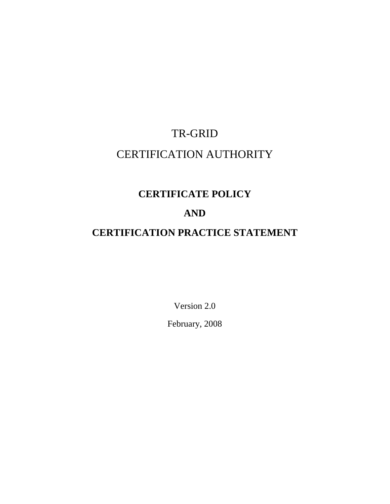# TR-GRID CERTIFICATION AUTHORITY

# **CERTIFICATE POLICY**

# **AND**

# **CERTIFICATION PRACTICE STATEMENT**

Version 2.0 February, 2008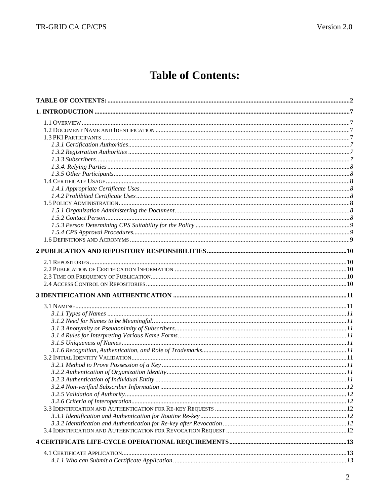# **Table of Contents:**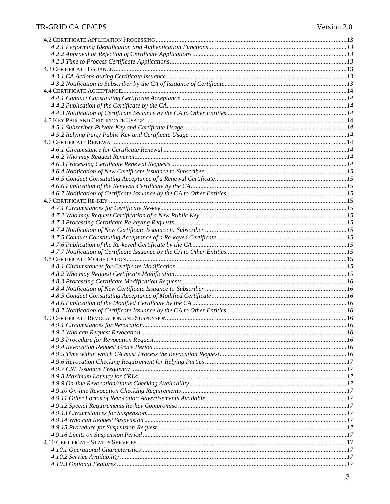### TR-GRID CA CP/CPS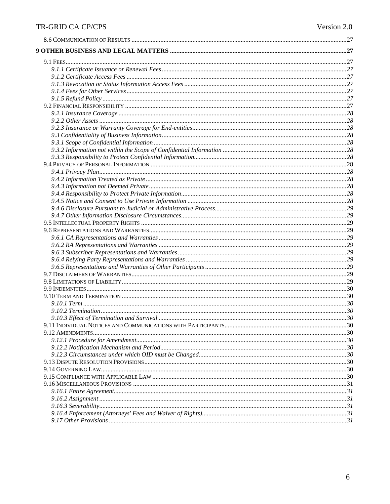# ${\tt TR\text{-}GRID\text{-}CA\text{-}CP/CPS}$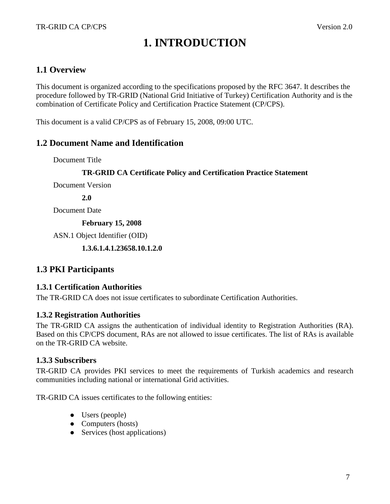# **1. INTRODUCTION**

# **1.1 Overview**

This document is organized according to the specifications proposed by the RFC 3647. It describes the procedure followed by TR-GRID (National Grid Initiative of Turkey) Certification Authority and is the combination of Certificate Policy and Certification Practice Statement (CP/CPS).

This document is a valid CP/CPS as of February 15, 2008, 09:00 UTC.

### **1.2 Document Name and Identification**

Document Title

### **TR-GRID CA Certificate Policy and Certification Practice Statement**

Document Version

**2.0** 

Document Date

**February 15, 2008** 

ASN.1 Object Identifier (OID)

 **1.3.6.1.4.1.23658.10.1.2.0** 

### **1.3 PKI Participants**

### **1.3.1 Certification Authorities**

The TR-GRID CA does not issue certificates to subordinate Certification Authorities.

### **1.3.2 Registration Authorities**

The TR-GRID CA assigns the authentication of individual identity to Registration Authorities (RA). Based on this CP/CPS document, RAs are not allowed to issue certificates. The list of RAs is available on the TR-GRID CA website.

### **1.3.3 Subscribers**

TR-GRID CA provides PKI services to meet the requirements of Turkish academics and research communities including national or international Grid activities.

TR-GRID CA issues certificates to the following entities:

- Users (people)
- Computers (hosts)
- Services (host applications)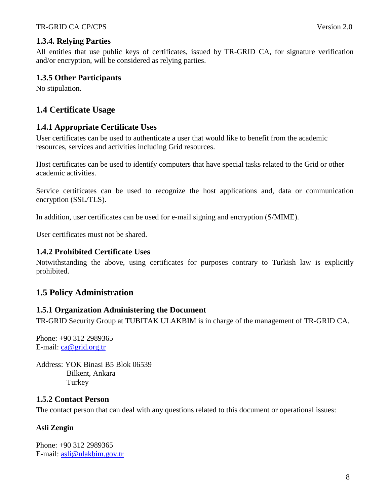### **1.3.4. Relying Parties**

All entities that use public keys of certificates, issued by TR-GRID CA, for signature verification and/or encryption, will be considered as relying parties.

### **1.3.5 Other Participants**

No stipulation.

# **1.4 Certificate Usage**

### **1.4.1 Appropriate Certificate Uses**

User certificates can be used to authenticate a user that would like to benefit from the academic resources, services and activities including Grid resources.

Host certificates can be used to identify computers that have special tasks related to the Grid or other academic activities.

Service certificates can be used to recognize the host applications and, data or communication encryption (SSL/TLS).

In addition, user certificates can be used for e-mail signing and encryption (S/MIME).

User certificates must not be shared.

### **1.4.2 Prohibited Certificate Uses**

Notwithstanding the above, using certificates for purposes contrary to Turkish law is explicitly prohibited.

### **1.5 Policy Administration**

### **1.5.1 Organization Administering the Document**

TR-GRID Security Group at TUBITAK ULAKBIM is in charge of the management of TR-GRID CA.

Phone: +90 312 2989365 E-mail: ca@grid.org.tr

Address: YOK Binasi B5 Blok 06539 Bilkent, Ankara **Turkey** 

### **1.5.2 Contact Person**

The contact person that can deal with any questions related to this document or operational issues:

### **Asli Zengin**

Phone: +90 312 2989365 E-mail: asli@ulakbim.gov.tr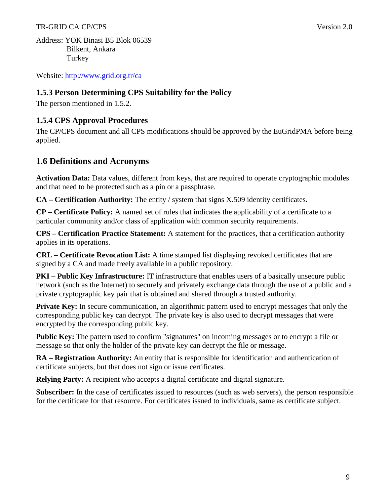#### TR-GRID CA CP/CPS Version 2.0

Address: YOK Binasi B5 Blok 06539 Bilkent, Ankara Turkey

Website: http://www.grid.org.tr/ca

### **1.5.3 Person Determining CPS Suitability for the Policy**

The person mentioned in 1.5.2.

### **1.5.4 CPS Approval Procedures**

The CP/CPS document and all CPS modifications should be approved by the EuGridPMA before being applied.

### **1.6 Definitions and Acronyms**

**Activation Data:** Data values, different from keys, that are required to operate cryptographic modules and that need to be protected such as a pin or a passphrase.

**CA – Certification Authority:** The entity / system that signs X.509 identity certificates**.** 

**CP – Certificate Policy:** A named set of rules that indicates the applicability of a certificate to a particular community and/or class of application with common security requirements.

**CPS – Certification Practice Statement:** A statement for the practices, that a certification authority applies in its operations.

**CRL – Certificate Revocation List:** A time stamped list displaying revoked certificates that are signed by a CA and made freely available in a public repository.

**PKI – Public Key Infrastructure:** IT infrastructure that enables users of a basically unsecure public network (such as the Internet) to securely and privately exchange data through the use of a public and a private cryptographic key pair that is obtained and shared through a trusted authority.

**Private Key:** In secure communication, an algorithmic pattern used to encrypt messages that only the corresponding public key can decrypt. The private key is also used to decrypt messages that were encrypted by the corresponding public key.

**Public Key:** The pattern used to confirm "signatures" on incoming messages or to encrypt a file or message so that only the holder of the private key can decrypt the file or message.

**RA – Registration Authority:** An entity that is responsible for identification and authentication of certificate subjects, but that does not sign or issue certificates.

**Relying Party:** A recipient who accepts a digital certificate and digital signature.

**Subscriber:** In the case of certificates issued to resources (such as web servers), the person responsible for the certificate for that resource. For certificates issued to individuals, same as certificate subject.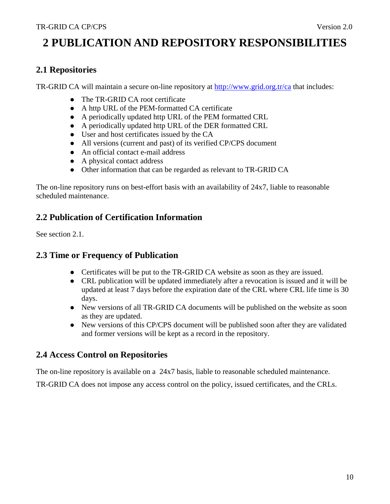# **2 PUBLICATION AND REPOSITORY RESPONSIBILITIES**

# **2.1 Repositories**

TR-GRID CA will maintain a secure on-line repository at http://www.grid.org.tr/ca that includes:

- The TR-GRID CA root certificate
- A http URL of the PEM-formatted CA certificate
- A periodically updated http URL of the PEM formatted CRL
- A periodically updated http URL of the DER formatted CRL
- User and host certificates issued by the CA
- All versions (current and past) of its verified CP/CPS document
- An official contact e-mail address
- A physical contact address
- Other information that can be regarded as relevant to TR-GRID CA

The on-line repository runs on best-effort basis with an availability of 24x7, liable to reasonable scheduled maintenance.

## **2.2 Publication of Certification Information**

See section 2.1.

# **2.3 Time or Frequency of Publication**

- Certificates will be put to the TR-GRID CA website as soon as they are issued.
- CRL publication will be updated immediately after a revocation is issued and it will be updated at least 7 days before the expiration date of the CRL where CRL life time is 30 days.
- New versions of all TR-GRID CA documents will be published on the website as soon as they are updated.
- New versions of this CP/CPS document will be published soon after they are validated and former versions will be kept as a record in the repository.

### **2.4 Access Control on Repositories**

The on-line repository is available on a 24x7 basis, liable to reasonable scheduled maintenance.

TR-GRID CA does not impose any access control on the policy, issued certificates, and the CRLs.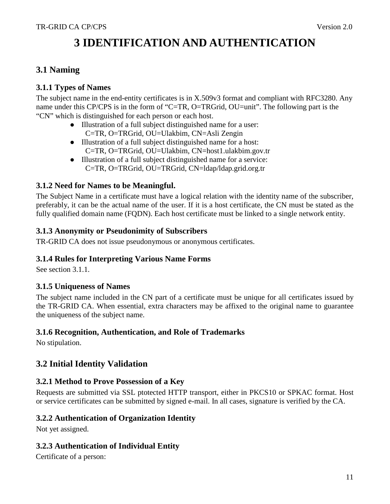# **3 IDENTIFICATION AND AUTHENTICATION**

# **3.1 Naming**

### **3.1.1 Types of Names**

The subject name in the end-entity certificates is in X.509v3 format and compliant with RFC3280. Any name under this CP/CPS is in the form of "C=TR, O=TRGrid, OU=unit". The following part is the "CN" which is distinguished for each person or each host.

- Illustration of a full subject distinguished name for a user: C=TR, O=TRGrid, OU=Ulakbim, CN=Asli Zengin
- Illustration of a full subject distinguished name for a host: C=TR, O=TRGrid, OU=Ulakbim, CN=host1.ulakbim.gov.tr
- Illustration of a full subject distinguished name for a service: C=TR, O=TRGrid, OU=TRGrid, CN=ldap/ldap.grid.org.tr

### **3.1.2 Need for Names to be Meaningful.**

The Subject Name in a certificate must have a logical relation with the identity name of the subscriber, preferably, it can be the actual name of the user. If it is a host certificate, the CN must be stated as the fully qualified domain name (FODN). Each host certificate must be linked to a single network entity.

### **3.1.3 Anonymity or Pseudonimity of Subscribers**

TR-GRID CA does not issue pseudonymous or anonymous certificates.

### **3.1.4 Rules for Interpreting Various Name Forms**

See section 3.1.1.

### **3.1.5 Uniqueness of Names**

The subject name included in the CN part of a certificate must be unique for all certificates issued by the TR-GRID CA. When essential, extra characters may be affixed to the original name to guarantee the uniqueness of the subject name.

### **3.1.6 Recognition, Authentication, and Role of Trademarks**

No stipulation.

### **3.2 Initial Identity Validation**

### **3.2.1 Method to Prove Possession of a Key**

Requests are submitted via SSL ptotected HTTP transport, either in PKCS10 or SPKAC format. Host or service certificates can be submitted by signed e-mail. In all cases, signature is verified by the CA.

### **3.2.2 Authentication of Organization Identity**

Not yet assigned.

### **3.2.3 Authentication of Individual Entity**

Certificate of a person: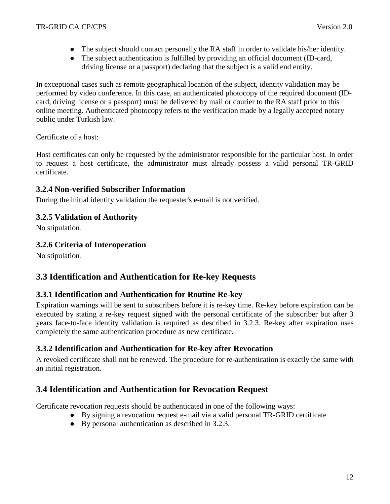- The subject should contact personally the RA staff in order to validate his/her identity.
- The subject authentication is fulfilled by providing an official document (ID-card, driving license or a passport) declaring that the subject is a valid end entity.

In exceptional cases such as remote geographical location of the subject, identity validation may be performed by video conference. In this case, an authenticated photocopy of the required document (IDcard, driving license or a passport) must be delivered by mail or courier to the RA staff prior to this online meeting. Authenticated photocopy refers to the verification made by a legally accepted notary public under Turkish law.

### Certificate of a host:

Host certificates can only be requested by the administrator responsible for the particular host. In order to request a host certificate, the administrator must already possess a valid personal TR-GRID certificate.

### **3.2.4 Non-verified Subscriber Information**

During the initial identity validation the requester's e-mail is not verified.

### **3.2.5 Validation of Authority**

No stipulation.

### **3.2.6 Criteria of Interoperation**

No stipulation.

# **3.3 Identification and Authentication for Re-key Requests**

### **3.3.1 Identification and Authentication for Routine Re-key**

Expiration warnings will be sent to subscribers before it is re-key time. Re-key before expiration can be executed by stating a re-key request signed with the personal certificate of the subscriber but after 3 years face-to-face identity validation is required as described in 3.2.3. Re-key after expiration uses completely the same authentication procedure as new certificate.

### **3.3.2 Identification and Authentication for Re-key after Revocation**

A revoked certificate shall not be renewed. The procedure for re-authentication is exactly the same with an initial registration.

### **3.4 Identification and Authentication for Revocation Request**

Certificate revocation requests should be authenticated in one of the following ways:

- By signing a revocation request e-mail via a valid personal TR-GRID certificate
- By personal authentication as described in 3.2.3.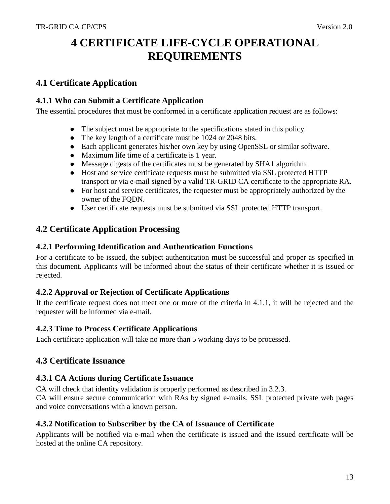# **4 CERTIFICATE LIFE-CYCLE OPERATIONAL REQUIREMENTS**

## **4.1 Certificate Application**

### **4.1.1 Who can Submit a Certificate Application**

The essential procedures that must be conformed in a certificate application request are as follows:

- The subject must be appropriate to the specifications stated in this policy.
- The key length of a certificate must be 1024 or 2048 bits.
- Each applicant generates his/her own key by using OpenSSL or similar software.
- Maximum life time of a certificate is 1 year.
- Message digests of the certificates must be generated by SHA1 algorithm.
- Host and service certificate requests must be submitted via SSL protected HTTP transport or via e-mail signed by a valid TR-GRID CA certificate to the appropriate RA.
- For host and service certificates, the requester must be appropriately authorized by the owner of the FQDN.
- User certificate requests must be submitted via SSL protected HTTP transport.

### **4.2 Certificate Application Processing**

### **4.2.1 Performing Identification and Authentication Functions**

For a certificate to be issued, the subject authentication must be successful and proper as specified in this document. Applicants will be informed about the status of their certificate whether it is issued or rejected.

### **4.2.2 Approval or Rejection of Certificate Applications**

If the certificate request does not meet one or more of the criteria in 4.1.1, it will be rejected and the requester will be informed via e-mail.

### **4.2.3 Time to Process Certificate Applications**

Each certificate application will take no more than 5 working days to be processed.

### **4.3 Certificate Issuance**

### **4.3.1 CA Actions during Certificate Issuance**

CA will check that identity validation is properly performed as described in 3.2.3.

CA will ensure secure communication with RAs by signed e-mails, SSL protected private web pages and voice conversations with a known person.

### **4.3.2 Notification to Subscriber by the CA of Issuance of Certificate**

Applicants will be notified via e-mail when the certificate is issued and the issued certificate will be hosted at the online CA repository.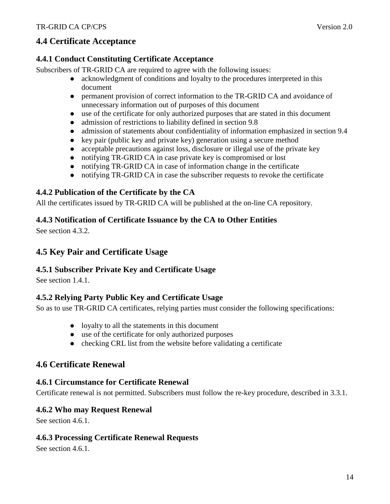# **4.4 Certificate Acceptance**

### **4.4.1 Conduct Constituting Certificate Acceptance**

Subscribers of TR-GRID CA are required to agree with the following issues:

- acknowledgment of conditions and loyalty to the procedures interpreted in this document
- permanent provision of correct information to the TR-GRID CA and avoidance of unnecessary information out of purposes of this document
- use of the certificate for only authorized purposes that are stated in this document
- admission of restrictions to liability defined in section 9.8
- admission of statements about confidentiality of information emphasized in section 9.4
- $\bullet$  key pair (public key and private key) generation using a secure method
- acceptable precautions against loss, disclosure or illegal use of the private key
- notifying TR-GRID CA in case private key is compromised or lost
- notifying TR-GRID CA in case of information change in the certificate
- notifying TR-GRID CA in case the subscriber requests to revoke the certificate

## **4.4.2 Publication of the Certificate by the CA**

All the certificates issued by TR-GRID CA will be published at the on-line CA repository.

### **4.4.3 Notification of Certificate Issuance by the CA to Other Entities**

See section 4.3.2.

# **4.5 Key Pair and Certificate Usage**

### **4.5.1 Subscriber Private Key and Certificate Usage**

See section 1.4.1.

### **4.5.2 Relying Party Public Key and Certificate Usage**

So as to use TR-GRID CA certificates, relying parties must consider the following specifications:

- loyalty to all the statements in this document
- use of the certificate for only authorized purposes
- $\bullet$  checking CRL list from the website before validating a certificate

### **4.6 Certificate Renewal**

### **4.6.1 Circumstance for Certificate Renewal**

Certificate renewal is not permitted. Subscribers must follow the re-key procedure, described in 3.3.1.

### **4.6.2 Who may Request Renewal**

See section 4.6.1.

### **4.6.3 Processing Certificate Renewal Requests**

See section 4.6.1.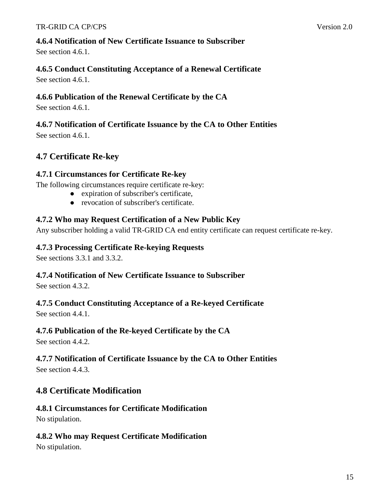### **4.6.4 Notification of New Certificate Issuance to Subscriber**

See section 4.6.1.

### **4.6.5 Conduct Constituting Acceptance of a Renewal Certificate**

See section 4.6.1.

### **4.6.6 Publication of the Renewal Certificate by the CA**

See section 4.6.1.

### **4.6.7 Notification of Certificate Issuance by the CA to Other Entities**

See section 4.6.1.

# **4.7 Certificate Re-key**

### **4.7.1 Circumstances for Certificate Re-key**

The following circumstances require certificate re-key:

- expiration of subscriber's certificate,
- revocation of subscriber's certificate.

### **4.7.2 Who may Request Certification of a New Public Key**

Any subscriber holding a valid TR-GRID CA end entity certificate can request certificate re-key.

### **4.7.3 Processing Certificate Re-keying Requests**

See sections 3.3.1 and 3.3.2.

### **4.7.4 Notification of New Certificate Issuance to Subscriber**

See section 4.3.2.

### **4.7.5 Conduct Constituting Acceptance of a Re-keyed Certificate**

See section 4.4.1.

### **4.7.6 Publication of the Re-keyed Certificate by the CA**

See section 4.4.2.

# **4.7.7 Notification of Certificate Issuance by the CA to Other Entities**

See section 4.4.3.

# **4.8 Certificate Modification**

### **4.8.1 Circumstances for Certificate Modification**  No stipulation.

### **4.8.2 Who may Request Certificate Modification**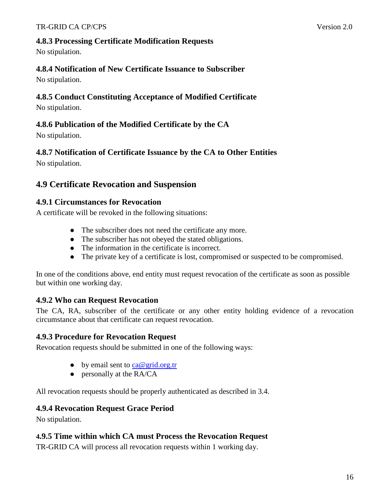### **4.8.3 Processing Certificate Modification Requests**

No stipulation.

## **4.8.4 Notification of New Certificate Issuance to Subscriber**

No stipulation.

### **4.8.5 Conduct Constituting Acceptance of Modified Certificate**

No stipulation.

### **4.8.6 Publication of the Modified Certificate by the CA**

No stipulation.

## **4.8.7 Notification of Certificate Issuance by the CA to Other Entities**

No stipulation.

# **4.9 Certificate Revocation and Suspension**

### **4.9.1 Circumstances for Revocation**

A certificate will be revoked in the following situations:

- The subscriber does not need the certificate any more.
- The subscriber has not obeyed the stated obligations.
- The information in the certificate is incorrect.
- The private key of a certificate is lost, compromised or suspected to be compromised.

In one of the conditions above, end entity must request revocation of the certificate as soon as possible but within one working day.

# **4.9.2 Who can Request Revocation**

The CA, RA, subscriber of the certificate or any other entity holding evidence of a revocation circumstance about that certificate can request revocation.

### **4.9.3 Procedure for Revocation Request**

Revocation requests should be submitted in one of the following ways:

- by email sent to  $ca@grid.org.tr$
- personally at the RA/CA

All revocation requests should be properly authenticated as described in 3.4.

### **4.9.4 Revocation Request Grace Period**

No stipulation.

### **4.9.5 Time within which CA must Process the Revocation Request**

TR-GRID CA will process all revocation requests within 1 working day.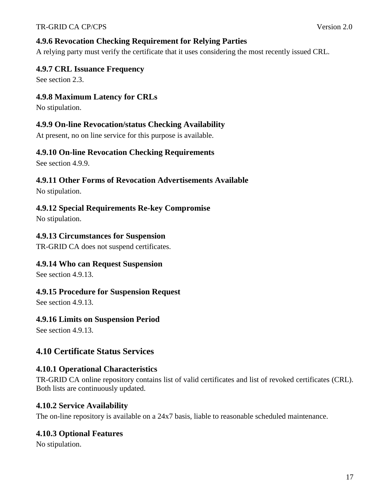## **4.9.6 Revocation Checking Requirement for Relying Parties**

A relying party must verify the certificate that it uses considering the most recently issued CRL.

### **4.9.7 CRL Issuance Frequency**

See section 2.3.

### **4.9.8 Maximum Latency for CRLs**

No stipulation.

### **4.9.9 On-line Revocation/status Checking Availability**

At present, no on line service for this purpose is available.

### **4.9.10 On-line Revocation Checking Requirements**

See section 4.9.9.

### **4.9.11 Other Forms of Revocation Advertisements Available**

No stipulation.

### **4.9.12 Special Requirements Re-key Compromise**

No stipulation.

### **4.9.13 Circumstances for Suspension**

TR-GRID CA does not suspend certificates.

### **4.9.14 Who can Request Suspension**

See section 4.9.13.

### **4.9.15 Procedure for Suspension Request**

See section 4.9.13.

### **4.9.16 Limits on Suspension Period**

See section 4.9.13.

# **4.10 Certificate Status Services**

### **4.10.1 Operational Characteristics**

TR-GRID CA online repository contains list of valid certificates and list of revoked certificates (CRL). Both lists are continuously updated.

### **4.10.2 Service Availability**

The on-line repository is available on a 24x7 basis, liable to reasonable scheduled maintenance.

### **4.10.3 Optional Features**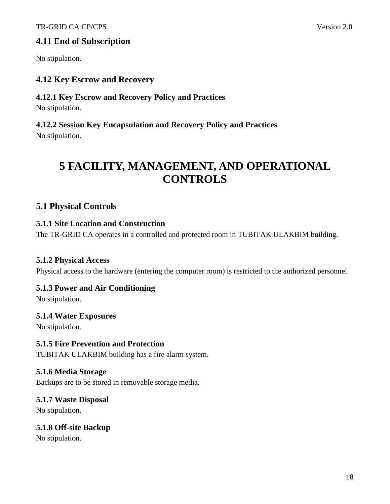# **4.11 End of Subscription**

No stipulation.

### **4.12 Key Escrow and Recovery**

# **4.12.1 Key Escrow and Recovery Policy and Practices**

No stipulation.

# **4.12.2 Session Key Encapsulation and Recovery Policy and Practices**

No stipulation.

# **5 FACILITY, MANAGEMENT, AND OPERATIONAL CONTROLS**

# **5.1 Physical Controls**

### **5.1.1 Site Location and Construction**

The TR-GRID CA operates in a controlled and protected room in TUBITAK ULAKBIM building.

### **5.1.2 Physical Access**

Physical access to the hardware (entering the computer room) is restricted to the authorized personnel.

### **5.1.3 Power and Air Conditioning**

No stipulation.

### **5.1.4 Water Exposures**

No stipulation.

### **5.1.5 Fire Prevention and Protection**

TUBITAK ULAKBIM building has a fire alarm system.

### **5.1.6 Media Storage**

Backups are to be stored in removable storage media.

### **5.1.7 Waste Disposal**

No stipulation.

### **5.1.8 Off-site Backup**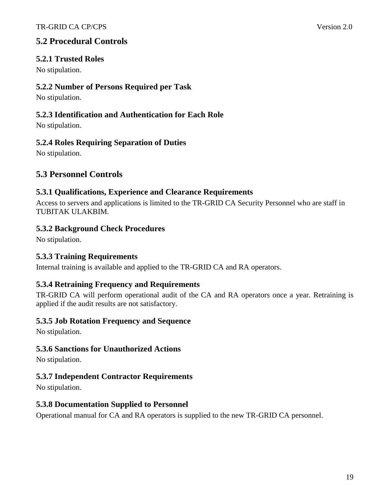# **5.2 Procedural Controls**

### **5.2.1 Trusted Roles**

No stipulation.

### **5.2.2 Number of Persons Required per Task**

No stipulation.

### **5.2.3 Identification and Authentication for Each Role**

No stipulation.

### **5.2.4 Roles Requiring Separation of Duties**

No stipulation.

# **5.3 Personnel Controls**

### **5.3.1 Qualifications, Experience and Clearance Requirements**

Access to servers and applications is limited to the TR-GRID CA Security Personnel who are staff in TUBITAK ULAKBIM.

### **5.3.2 Background Check Procedures**

No stipulation.

### **5.3.3 Training Requirements**

Internal training is available and applied to the TR-GRID CA and RA operators.

### **5.3.4 Retraining Frequency and Requirements**

TR-GRID CA will perform operational audit of the CA and RA operators once a year. Retraining is applied if the audit results are not satisfactory.

### **5.3.5 Job Rotation Frequency and Sequence**

No stipulation.

### **5.3.6 Sanctions for Unauthorized Actions**

No stipulation.

### **5.3.7 Independent Contractor Requirements**

No stipulation.

### **5.3.8 Documentation Supplied to Personnel**

Operational manual for CA and RA operators is supplied to the new TR-GRID CA personnel.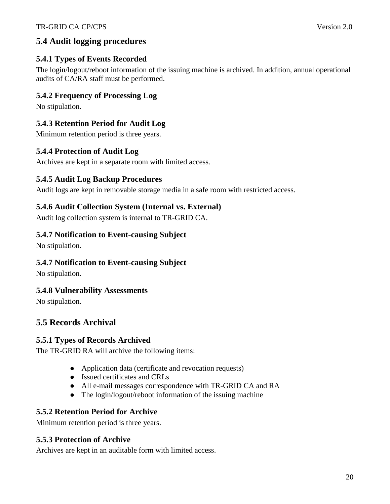# **5.4 Audit logging procedures**

# **5.4.1 Types of Events Recorded**

The login/logout/reboot information of the issuing machine is archived. In addition, annual operational audits of CA/RA staff must be performed.

# **5.4.2 Frequency of Processing Log**

No stipulation.

# **5.4.3 Retention Period for Audit Log**

Minimum retention period is three years.

## **5.4.4 Protection of Audit Log**

Archives are kept in a separate room with limited access.

## **5.4.5 Audit Log Backup Procedures**

Audit logs are kept in removable storage media in a safe room with restricted access.

### **5.4.6 Audit Collection System (Internal vs. External)**

Audit log collection system is internal to TR-GRID CA.

### **5.4.7 Notification to Event-causing Subject**

No stipulation.

### **5.4.7 Notification to Event-causing Subject**

No stipulation.

### **5.4.8 Vulnerability Assessments**

No stipulation.

# **5.5 Records Archival**

### **5.5.1 Types of Records Archived**

The TR-GRID RA will archive the following items:

- Application data (certificate and revocation requests)
- Issued certificates and CRLs
- All e-mail messages correspondence with TR-GRID CA and RA
- The login/logout/reboot information of the issuing machine

### **5.5.2 Retention Period for Archive**

Minimum retention period is three years.

### **5.5.3 Protection of Archive**

Archives are kept in an auditable form with limited access.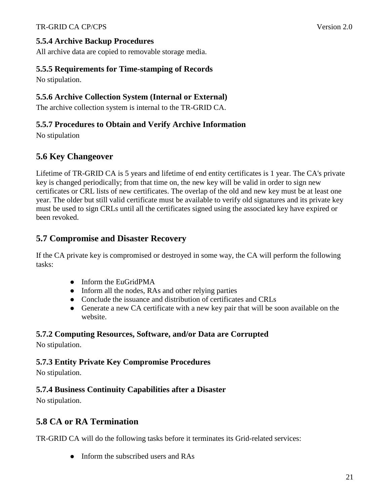### **5.5.4 Archive Backup Procedures**

All archive data are copied to removable storage media.

### **5.5.5 Requirements for Time-stamping of Records**

No stipulation.

### **5.5.6 Archive Collection System (Internal or External)**

The archive collection system is internal to the TR-GRID CA.

### **5.5.7 Procedures to Obtain and Verify Archive Information**

No stipulation

# **5.6 Key Changeover**

Lifetime of TR-GRID CA is 5 years and lifetime of end entity certificates is 1 year. The CA's private key is changed periodically; from that time on, the new key will be valid in order to sign new certificates or CRL lists of new certificates. The overlap of the old and new key must be at least one year. The older but still valid certificate must be available to verify old signatures and its private key must be used to sign CRLs until all the certificates signed using the associated key have expired or been revoked.

### **5.7 Compromise and Disaster Recovery**

If the CA private key is compromised or destroyed in some way, the CA will perform the following tasks:

- Inform the EuGridPMA
- Inform all the nodes, RAs and other relying parties
- Conclude the issuance and distribution of certificates and CRLs
- Generate a new CA certificate with a new key pair that will be soon available on the website.

### **5.7.2 Computing Resources, Software, and/or Data are Corrupted**

No stipulation.

### **5.7.3 Entity Private Key Compromise Procedures**

No stipulation.

### **5.7.4 Business Continuity Capabilities after a Disaster**

No stipulation.

### **5.8 CA or RA Termination**

TR-GRID CA will do the following tasks before it terminates its Grid-related services:

• Inform the subscribed users and RAs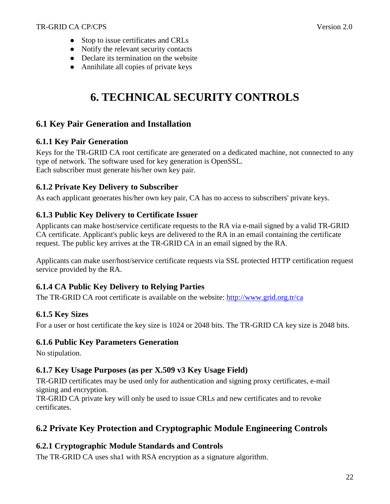- Stop to issue certificates and CRLs
- Notify the relevant security contacts
- Declare its termination on the website
- Annihilate all copies of private keys

# **6. TECHNICAL SECURITY CONTROLS**

# **6.1 Key Pair Generation and Installation**

### **6.1.1 Key Pair Generation**

Keys for the TR-GRID CA root certificate are generated on a dedicated machine, not connected to any type of network. The software used for key generation is OpenSSL. Each subscriber must generate his/her own key pair.

### **6.1.2 Private Key Delivery to Subscriber**

As each applicant generates his/her own key pair, CA has no access to subscribers' private keys.

### **6.1.3 Public Key Delivery to Certificate Issuer**

Applicants can make host/service certificate requests to the RA via e-mail signed by a valid TR-GRID CA certificate. Applicant's public keys are delivered to the RA in an email containing the certificate request. The public key arrives at the TR-GRID CA in an email signed by the RA.

Applicants can make user/host/service certificate requests via SSL protected HTTP certification request service provided by the RA.

### **6.1.4 CA Public Key Delivery to Relying Parties**

The TR-GRID CA root certificate is available on the website: http://www.grid.org.tr/ca

### **6.1.5 Key Sizes**

For a user or host certificate the key size is 1024 or 2048 bits. The TR-GRID CA key size is 2048 bits.

### **6.1.6 Public Key Parameters Generation**

No stipulation.

### **6.1.7 Key Usage Purposes (as per X.509 v3 Key Usage Field)**

TR-GRID certificates may be used only for authentication and signing proxy certificates, e-mail signing and encryption.

TR-GRID CA private key will only be used to issue CRLs and new certificates and to revoke certificates.

# **6.2 Private Key Protection and Cryptographic Module Engineering Controls**

### **6.2.1 Cryptographic Module Standards and Controls**

The TR-GRID CA uses sha1 with RSA encryption as a signature algorithm.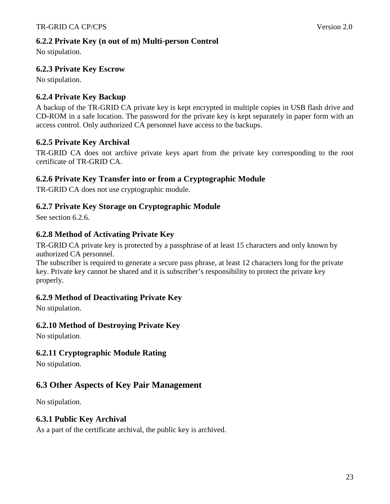### **6.2.2 Private Key (n out of m) Multi-person Control**

No stipulation.

### **6.2.3 Private Key Escrow**

No stipulation.

### **6.2.4 Private Key Backup**

A backup of the TR-GRID CA private key is kept encrypted in multiple copies in USB flash drive and CD-ROM in a safe location. The password for the private key is kept separately in paper form with an access control. Only authorized CA personnel have access to the backups.

### **6.2.5 Private Key Archival**

TR-GRID CA does not archive private keys apart from the private key corresponding to the root certificate of TR-GRID CA.

### **6.2.6 Private Key Transfer into or from a Cryptographic Module**

TR-GRID CA does not use cryptographic module.

### **6.2.7 Private Key Storage on Cryptographic Module**

See section 6.2.6.

### **6.2.8 Method of Activating Private Key**

TR-GRID CA private key is protected by a passphrase of at least 15 characters and only known by authorized CA personnel.

The subscriber is required to generate a secure pass phrase, at least 12 characters long for the private key. Private key cannot be shared and it is subscriber's responsibility to protect the private key properly.

### **6.2.9 Method of Deactivating Private Key**

No stipulation.

### **6.2.10 Method of Destroying Private Key**

No stipulation.

### **6.2.11 Cryptographic Module Rating**

No stipulation.

### **6.3 Other Aspects of Key Pair Management**

No stipulation.

### **6.3.1 Public Key Archival**

As a part of the certificate archival, the public key is archived.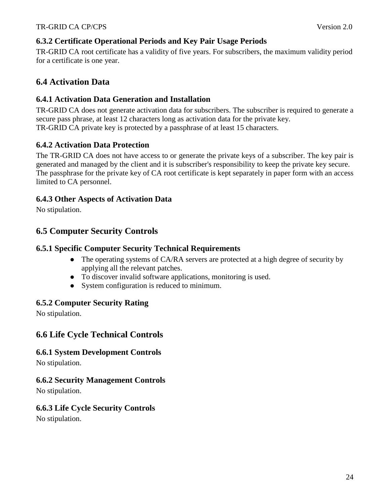### **6.3.2 Certificate Operational Periods and Key Pair Usage Periods**

TR-GRID CA root certificate has a validity of five years. For subscribers, the maximum validity period for a certificate is one year.

## **6.4 Activation Data**

### **6.4.1 Activation Data Generation and Installation**

TR-GRID CA does not generate activation data for subscribers. The subscriber is required to generate a secure pass phrase, at least 12 characters long as activation data for the private key. TR-GRID CA private key is protected by a passphrase of at least 15 characters.

### **6.4.2 Activation Data Protection**

The TR-GRID CA does not have access to or generate the private keys of a subscriber. The key pair is generated and managed by the client and it is subscriber's responsibility to keep the private key secure. The passphrase for the private key of CA root certificate is kept separately in paper form with an access limited to CA personnel.

### **6.4.3 Other Aspects of Activation Data**

No stipulation.

### **6.5 Computer Security Controls**

### **6.5.1 Specific Computer Security Technical Requirements**

- The operating systems of CA/RA servers are protected at a high degree of security by applying all the relevant patches.
- To discover invalid software applications, monitoring is used.
- System configuration is reduced to minimum.

### **6.5.2 Computer Security Rating**

No stipulation.

### **6.6 Life Cycle Technical Controls**

### **6.6.1 System Development Controls**

No stipulation.

### **6.6.2 Security Management Controls**

No stipulation.

### **6.6.3 Life Cycle Security Controls**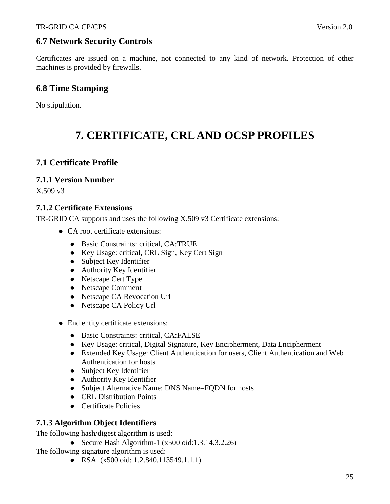# **6.7 Network Security Controls**

Certificates are issued on a machine, not connected to any kind of network. Protection of other machines is provided by firewalls.

# **6.8 Time Stamping**

No stipulation.

# **7. CERTIFICATE, CRL AND OCSP PROFILES**

## **7.1 Certificate Profile**

### **7.1.1 Version Number**

X.509 v3

### **7.1.2 Certificate Extensions**

TR-GRID CA supports and uses the following X.509 v3 Certificate extensions:

- CA root certificate extensions:
	- Basic Constraints: critical, CA:TRUE
	- Key Usage: critical, CRL Sign, Key Cert Sign
	- Subject Key Identifier
	- Authority Key Identifier
	- Netscape Cert Type
	- Netscape Comment
	- Netscape CA Revocation Url
	- Netscape CA Policy Url
- End entity certificate extensions:
	- Basic Constraints: critical, CA:FALSE
	- Key Usage: critical, Digital Signature, Key Encipherment, Data Encipherment
	- Extended Key Usage: Client Authentication for users, Client Authentication and Web Authentication for hosts
	- Subject Key Identifier
	- Authority Key Identifier
	- Subject Alternative Name: DNS Name=FQDN for hosts
	- CRL Distribution Points
	- **•** Certificate Policies

### **7.1.3 Algorithm Object Identifiers**

The following hash/digest algorithm is used:

Secure Hash Algorithm-1  $(x500 \text{ oid}: 1.3.14.3.2.26)$ 

The following signature algorithm is used:

• RSA (x500 oid: 1.2.840.113549.1.1.1)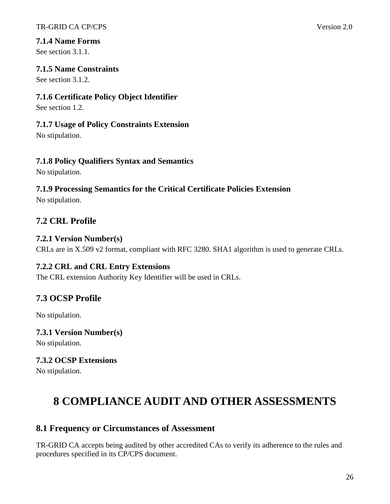### **7.1.4 Name Forms**

See section 3.1.1.

### **7.1.5 Name Constraints**

See section 3.1.2.

### **7.1.6 Certificate Policy Object Identifier**

See section 1.2.

### **7.1.7 Usage of Policy Constraints Extension**

No stipulation.

## **7.1.8 Policy Qualifiers Syntax and Semantics**

No stipulation.

# **7.1.9 Processing Semantics for the Critical Certificate Policies Extension**

No stipulation.

# **7.2 CRL Profile**

### **7.2.1 Version Number(s)**

CRLs are in X.509 v2 format, compliant with RFC 3280. SHA1 algorithm is used to generate CRLs.

### **7.2.2 CRL and CRL Entry Extensions**

The CRL extension Authority Key Identifier will be used in CRLs.

# **7.3 OCSP Profile**

No stipulation.

### **7.3.1 Version Number(s)**

No stipulation.

# **7.3.2 OCSP Extensions**

No stipulation.

# **8 COMPLIANCE AUDIT AND OTHER ASSESSMENTS**

# **8.1 Frequency or Circumstances of Assessment**

TR-GRID CA accepts being audited by other accredited CAs to verify its adherence to the rules and procedures specified in its CP/CPS document.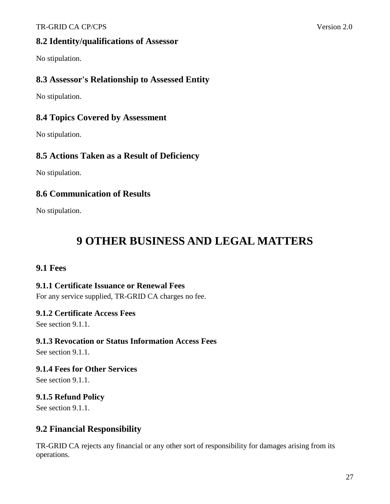### TR-GRID CA CP/CPS Version 2.0

### **8.2 Identity/qualifications of Assessor**

No stipulation.

### **8.3 Assessor's Relationship to Assessed Entity**

No stipulation.

### **8.4 Topics Covered by Assessment**

No stipulation.

### **8.5 Actions Taken as a Result of Deficiency**

No stipulation.

### **8.6 Communication of Results**

No stipulation.

# **9 OTHER BUSINESS AND LEGAL MATTERS**

### **9.1 Fees**

### **9.1.1 Certificate Issuance or Renewal Fees**

For any service supplied, TR-GRID CA charges no fee.

### **9.1.2 Certificate Access Fees**

See section 9.1.1.

### **9.1.3 Revocation or Status Information Access Fees**

See section 9.1.1.

**9.1.4 Fees for Other Services** 

See section 9.1.1.

### **9.1.5 Refund Policy**

See section 9.1.1.

### **9.2 Financial Responsibility**

TR-GRID CA rejects any financial or any other sort of responsibility for damages arising from its operations.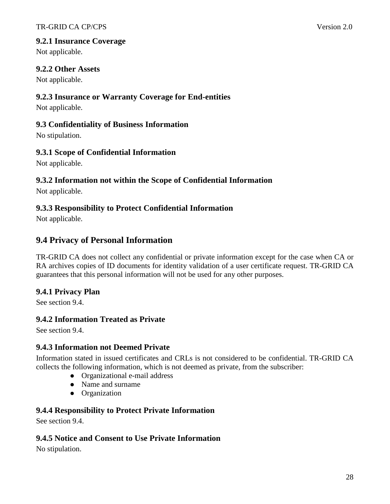### **9.2.1 Insurance Coverage**

Not applicable.

### **9.2.2 Other Assets**

Not applicable.

### **9.2.3 Insurance or Warranty Coverage for End-entities**

Not applicable.

### **9.3 Confidentiality of Business Information**

No stipulation.

### **9.3.1 Scope of Confidential Information**

Not applicable.

### **9.3.2 Information not within the Scope of Confidential Information**

Not applicable.

### **9.3.3 Responsibility to Protect Confidential Information**

Not applicable.

### **9.4 Privacy of Personal Information**

TR-GRID CA does not collect any confidential or private information except for the case when CA or RA archives copies of ID documents for identity validation of a user certificate request. TR-GRID CA guarantees that this personal information will not be used for any other purposes.

### **9.4.1 Privacy Plan**

See section 9.4.

### **9.4.2 Information Treated as Private**

See section 9.4.

### **9.4.3 Information not Deemed Private**

Information stated in issued certificates and CRLs is not considered to be confidential. TR-GRID CA collects the following information, which is not deemed as private, from the subscriber:

- Organizational e-mail address
- Name and surname
- **•** Organization

### **9.4.4 Responsibility to Protect Private Information**

See section 9.4.

### **9.4.5 Notice and Consent to Use Private Information**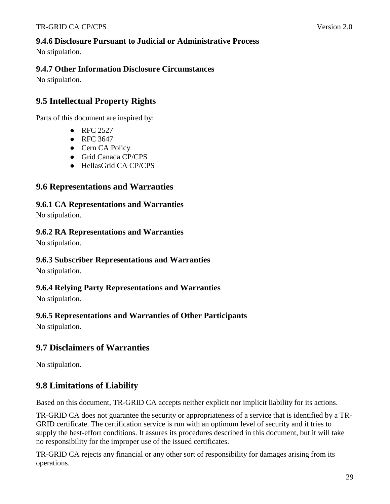### **9.4.6 Disclosure Pursuant to Judicial or Administrative Process**

No stipulation.

### **9.4.7 Other Information Disclosure Circumstances**

No stipulation.

# **9.5 Intellectual Property Rights**

Parts of this document are inspired by:

- $\bullet$  RFC 2527
- RFC 3647
- Cern CA Policy
- Grid Canada CP/CPS
- HellasGrid CA CP/CPS

### **9.6 Representations and Warranties**

**9.6.1 CA Representations and Warranties** 

No stipulation.

### **9.6.2 RA Representations and Warranties**

No stipulation.

### **9.6.3 Subscriber Representations and Warranties**

No stipulation.

### **9.6.4 Relying Party Representations and Warranties**

No stipulation.

### **9.6.5 Representations and Warranties of Other Participants**

No stipulation.

### **9.7 Disclaimers of Warranties**

No stipulation.

### **9.8 Limitations of Liability**

Based on this document, TR-GRID CA accepts neither explicit nor implicit liability for its actions.

TR-GRID CA does not guarantee the security or appropriateness of a service that is identified by a TR-GRID certificate. The certification service is run with an optimum level of security and it tries to supply the best-effort conditions. It assures its procedures described in this document, but it will take no responsibility for the improper use of the issued certificates.

TR-GRID CA rejects any financial or any other sort of responsibility for damages arising from its operations.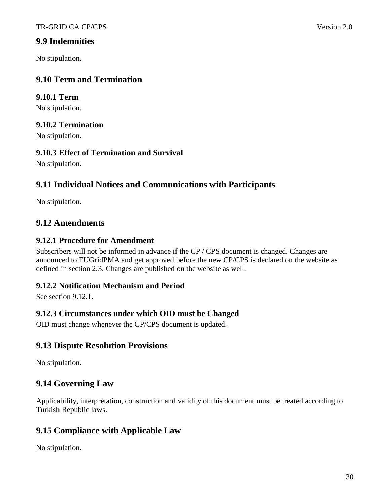### **9.9 Indemnities**

No stipulation.

## **9.10 Term and Termination**

### **9.10.1 Term**

No stipulation.

### **9.10.2 Termination**

No stipulation.

### **9.10.3 Effect of Termination and Survival**

No stipulation.

# **9.11 Individual Notices and Communications with Participants**

No stipulation.

### **9.12 Amendments**

### **9.12.1 Procedure for Amendment**

Subscribers will not be informed in advance if the CP / CPS document is changed. Changes are announced to EUGridPMA and get approved before the new CP/CPS is declared on the website as defined in section 2.3. Changes are published on the website as well.

### **9.12.2 Notification Mechanism and Period**

See section 9.12.1.

### **9.12.3 Circumstances under which OID must be Changed**

OID must change whenever the CP/CPS document is updated.

### **9.13 Dispute Resolution Provisions**

No stipulation.

# **9.14 Governing Law**

Applicability, interpretation, construction and validity of this document must be treated according to Turkish Republic laws.

### **9.15 Compliance with Applicable Law**